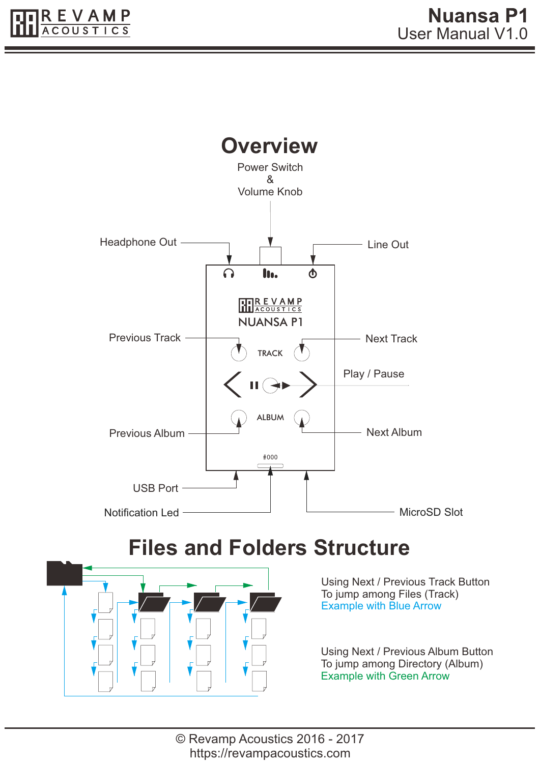

### **Files and Folders Structure**



Using Next / Previous Track Button To jump among Files (Track) Example with Blue Arrow

Using Next / Previous Album Button To jump among Directory (Album) Example with Green Arrow